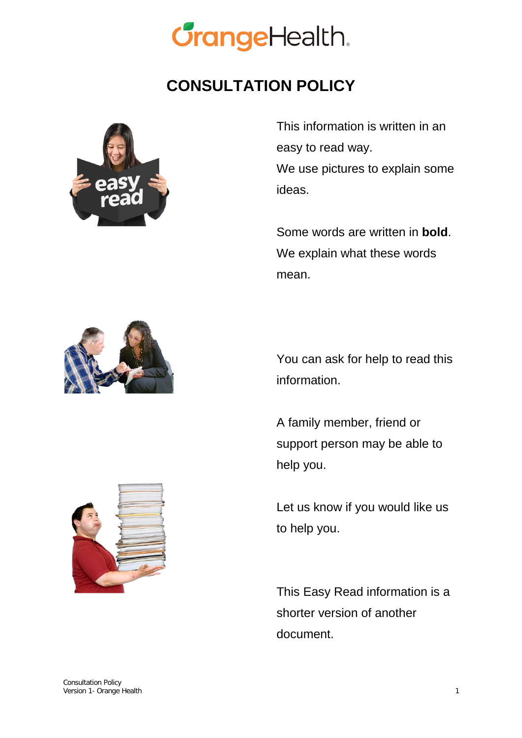

## **CONSULTATION POLICY**



This information is written in an easy to read way. We use pictures to explain some ideas.

Some words are written in **bold**. We explain what these words mean.



You can ask for help to read this information.

A family member, friend or support person may be able to help you.

Let us know if you would like us to help you.

This Easy Read information is a shorter version of another document.

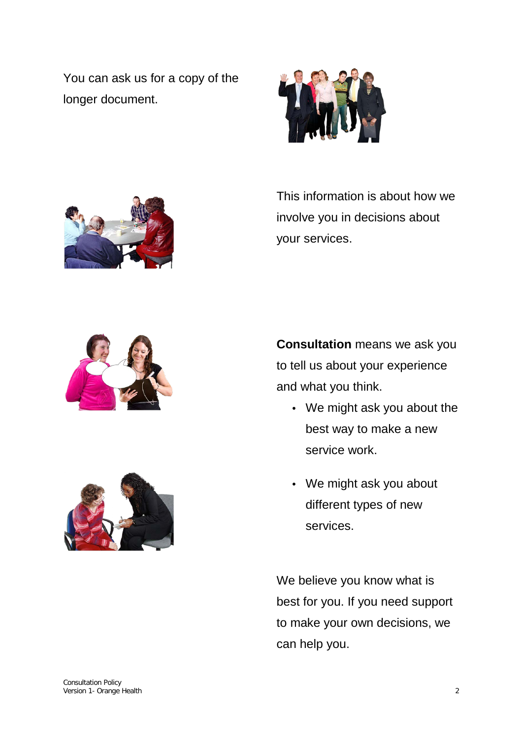You can ask us for a copy of the longer document.





This information is about how we involve you in decisions about your services.





**Consultation** means we ask you to tell us about your experience and what you think.

- We might ask you about the best way to make a new service work.
- We might ask you about different types of new services.

We believe you know what is best for you. If you need support to make your own decisions, we can help you.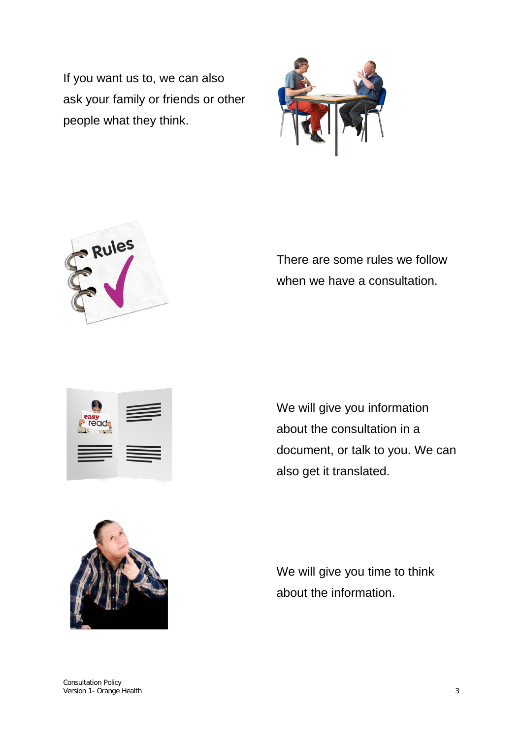If you want us to, we can also ask your family or friends or other people what they think.





There are some rules we follow when we have a consultation.



We will give you information about the consultation in a document, or talk to you. We can also get it translated.



We will give you time to think about the information.